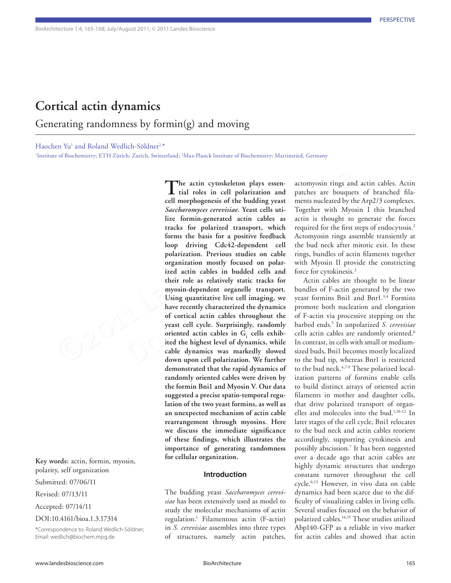# **Cortical actin dynamics**

Generating randomness by formin(g) and moving

Haochen Yu<sup>1</sup> and Roland Wedlich-Söldner<sup>2,\*</sup>

1 Institute of Biochemistry; ETH Zürich; Zurich, Switzerland; 2 Max-Planck Institute of Biochemistry; Martinsried, Germany

**Key words:** actin, formin, myosin, polarity, self organization

Submitted: 07/06/11

Revised: 07/13/11

Accepted: 07/14/11

DOI:10.4161/bioa.1.3.17314

\*Correspondence to: Roland Wedlich-Söldner; Email: wedlich@biochem.mpg.de

The actin cytoskeleton plays essen-<br>
actionyosin rings and<br>
cell morphogenesis of the budding yeast<br>
cell morphogenesis of the budding yeast<br>
center with Myosin<br>
Saccharmorges creentiate. Years cells uti- <sup>1</sup> Ogether with forms the basis for a positive feedback Actomyosin<br>loop driving Cdc42-dependent cell the bud necl<br>polarization. Previous studies on cable rings, bundle<br>organization mostly focused on polar-<br>with Myosin<br>ized actin cables i **The actin cytoskeleton plays essen-tial roles in cell polarization and cell morphogenesis of the budding yeast**  *Saccharomyces cerevisiae***. Yeast cells utilize formin-generated actin cables as tracks for polarized transport, which forms the basis for a positive feedback loop driving Cdc42-dependent cell polarization. Previous studies on cable organization mostly focused on polarized actin cables in budded cells and their role as relatively static tracks for myosin-dependent organelle transport. Using quantitative live cell imaging, we have recently characterized the dynamics of cortical actin cables throughout the yeast cell cycle. Surprisingly, randomly**  oriented actin cables in  $G<sub>1</sub>$  cells exhib**ited the highest level of dynamics, while cable dynamics was markedly slowed down upon cell polarization. We further demonstrated that the rapid dynamics of randomly oriented cables were driven by the formin Bni1 and Myosin V. Our data suggested a precise spatio-temporal regulation of the two yeast formins, as well as an unexpected mechanism of actin cable rearrangement through myosins. Here we discuss the immediate significance of these findings, which illustrates the importance of generating randomness for cellular organization.**

#### **Introduction**

The budding yeast *Saccharomyces cerevisiae* has been extensively used as model to study the molecular mechanisms of actin regulation.1 Filamentous actin (F-actin) in *S. cerevisiae* assembles into three types of structures, namely actin patches,

actomyosin rings and actin cables. Actin patches are bouquets of branched filaments nucleated by the Arp2/3 complexes. Together with Myosin I this branched actin is thought to generate the forces required for the first steps of endocytosis.<sup>2</sup> Actomyosin rings assemble transiently at the bud neck after mitotic exit. In these rings, bundles of actin filaments together with Myosin II provide the constricting force for cytokinesis.<sup>2</sup>

Actin cables are thought to be linear bundles of F-actin generated by the two yeast formins Bni1 and Bnr1.<sup>3,4</sup> Formins promote both nucleation and elongation of F-actin via processive stepping on the barbed ends.5 In unpolarized *S. cerevisiae* cells actin cables are randomly oriented.<sup>6</sup> In contrast, in cells with small or mediumsized buds, Bni1 becomes mostly localized to the bud tip, whereas Bnr1 is restricted to the bud neck.4,7-9 These polarized localization patterns of formins enable cells to build distinct arrays of oriented actin filaments in mother and daughter cells, that drive polarized transport of organelles and molecules into the bud.1,10-12 In later stages of the cell cycle, Bni1 relocates to the bud neck and actin cables reorient accordingly, supporting cytokinesis and possibly abscission.7 It has been suggested over a decade ago that actin cables are highly dynamic structures that undergo constant turnover throughout the cell cycle.6,13 However, in vivo data on cable dynamics had been scarce due to the difficulty of visualizing cables in living cells. Several studies focused on the behavior of polarized cables.14,15 These studies utilized Abp140-GFP as a reliable in vivo marker for actin cables and showed that actin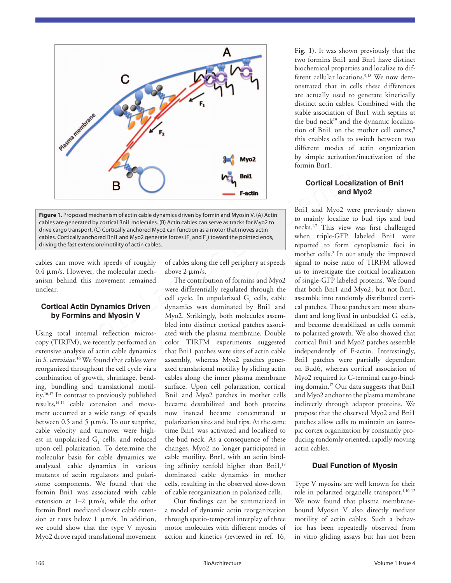



cables can move with speeds of roughly 0.4 μm/s. However, the molecular mechanism behind this movement remained unclear.

#### **Cortical Actin Dynamics Driven by Formins and Myosin V**

Using total internal reflection microscopy (TIRFM), we recently performed an extensive analysis of actin cable dynamics in *S. cerevisiae*. 16 We found that cables were reorganized throughout the cell cycle via a combination of growth, shrinkage, bending, bundling and translational motility.16,17 In contrast to previously published results,<sup>14,15</sup> cable extension and movement occurred at a wide range of speeds between 0.5 and 5  $\mu$ m/s. To our surprise, cable velocity and turnover were highest in unpolarized  $G<sub>1</sub>$  cells, and reduced upon cell polarization. To determine the molecular basis for cable dynamics we analyzed cable dynamics in various mutants of actin regulators and polarisome components. We found that the formin Bni1 was associated with cable extension at 1–2 μm/s, while the other formin Bnr1 mediated slower cable extension at rates below 1 μm/s. In addition, we could show that the type V myosin Myo2 drove rapid translational movement

of cables along the cell periphery at speeds above 2 μm/s.

**EXECUTE:**<br> **EXECUTE:**<br> **EXECUTE:**<br> **EXECUTE:**<br> **EXECUTE:**<br> **EXECUTE:**<br> **EXECUTE:**<br> **EXECUTE:**<br> **EXECUTE:**<br> **EXECUTE:**<br> **EXECUTE:**<br> **EXECUTE:**<br> **EXECUTE:**<br> **EXECUTE:**<br> **EXECUTE:**<br> **EXECUTE:**<br> **EXECUTE:**<br> **EXECUTE:**<br> **EXECU** d Myo2 generate forces ( $F_1$  and  $F_2$ ) toward the pointed ends,<br>
of actin cables.<br>
of roughly<br>
of cables along the cell periphery at speeds<br>
signal to no<br>
ular mechanison of cables along the cell periphery at speeds<br>
si The contribution of formins and Myo2 were differentially regulated through the cell cycle. In unpolarized  $G<sub>1</sub>$  cells, cable dynamics was dominated by Bni1 and Myo2. Strikingly, both molecules assembled into distinct cortical patches associated with the plasma membrane. Double color TIRFM experiments suggested that Bni1 patches were sites of actin cable assembly, whereas Myo2 patches generated translational motility by sliding actin cables along the inner plasma membrane surface. Upon cell polarization, cortical Bni1 and Myo2 patches in mother cells became destabilized and both proteins now instead became concentrated at polarization sites and bud tips. At the same time Bnr1 was activated and localized to the bud neck. As a consequence of these changes, Myo2 no longer participated in cable motility. Bnr1, with an actin binding affinity tenfold higher than Bni1,<sup>18</sup> dominated cable dynamics in mother cells, resulting in the observed slow-down of cable reorganization in polarized cells.

Our findings can be summarized in a model of dynamic actin reorganization through spatio-temporal interplay of three motor molecules with different modes of action and kinetics (reviewed in ref. 16,

**Fig. 1**). It was shown previously that the two formins Bni1 and Bnr1 have distinct biochemical properties and localize to different cellular locations.<sup>9,18</sup> We now demonstrated that in cells these differences are actually used to generate kinetically distinct actin cables. Combined with the stable association of Bnr1 with septins at the bud neck<sup>19</sup> and the dynamic localization of Bni1 on the mother cell cortex,<sup>9</sup> this enables cells to switch between two different modes of actin organization by simple activation/inactivation of the formin Bnr1.

## **Cortical Localization of Bni1 and Myo2**

Bni1 and Myo2 were previously shown to mainly localize to bud tips and bud necks.1,7 This view was first challenged when triple-GFP labeled Bni1 were reported to form cytoplasmic foci in mother cells.<sup>9</sup> In our study the improved signal to noise ratio of TIRFM allowed us to investigate the cortical localization of single-GFP labeled proteins. We found that both Bni1 and Myo2, but not Bnr1, assemble into randomly distributed cortical patches. These patches are most abundant and long lived in unbudded  $G<sub>1</sub>$  cells, and become destabilized as cells commit to polarized growth. We also showed that cortical Bni1 and Myo2 patches assemble independently of F-actin. Interestingly, Bni1 patches were partially dependent on Bud6, whereas cortical association of Myo2 required its C-terminal cargo-binding domain.17 Our data suggests that Bni1 and Myo2 anchor to the plasma membrane indirectly through adaptor proteins. We propose that the observed Myo2 and Bni1 patches allow cells to maintain an isotropic cortex organization by constantly producing randomly oriented, rapidly moving actin cables.

## **Dual Function of Myosin**

Type V myosins are well known for their role in polarized organelle transport.<sup>1,10-12</sup> We now found that plasma membranebound Myosin V also directly mediate motility of actin cables. Such a behavior has been repeatedly observed from in vitro gliding assays but has not been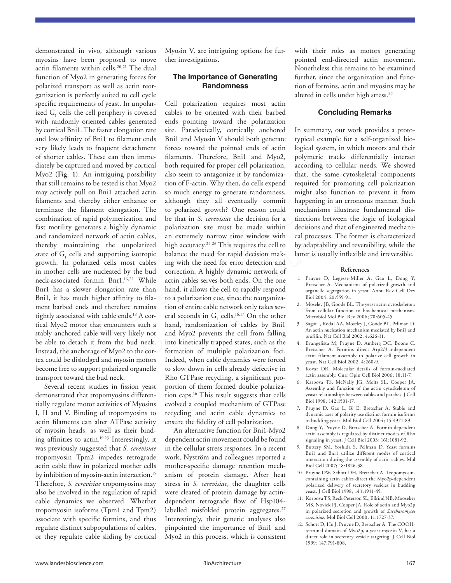demonstrated in vivo, although various myosins have been proposed to move actin filaments within cells.<sup>20,21</sup> The dual function of Myo2 in generating forces for polarized transport as well as actin reorganization is perfectly suited to cell cycle specific requirements of yeast. In unpolarized  $G<sub>1</sub>$  cells the cell periphery is covered with randomly oriented cables generated by cortical Bni1. The faster elongation rate and low affinity of Bni1 to filament ends very likely leads to frequent detachment of shorter cables. These can then immediately be captured and moved by cortical Myo2 (**Fig. 1**). An intriguing possibility that still remains to be tested is that Myo2 may actively pull on Bni1 attached actin filaments and thereby either enhance or terminate the filament elongation. The combination of rapid polymerization and fast motility generates a highly dynamic and randomized network of actin cables, thereby maintaining the unpolarized state of  $G<sub>1</sub>$  cells and supporting isotropic growth. In polarized cells most cables in mother cells are nucleated by the bud neck-associated formin Bnr1.16,22 While Bnr1 has a slower elongation rate than Bni1, it has much higher affinity to filament barbed ends and therefore remains tightly associated with cable ends.<sup>18</sup> A cortical Myo2 motor that encounters such a stably anchored cable will very likely not be able to detach it from the bud neck. Instead, the anchorage of Myo2 to the cortex could be dislodged and myosin motors become free to support polarized organelle transport toward the bud neck.

Several recent studies in fission yeast demonstrated that tropomyosins differentially regulate motor activities of Myosins I, II and V. Binding of tropomyosins to actin filaments can alter ATPase activity of myosin heads, as well as their binding affinities to actin.19,23 Interestingly, it was previously suggested that *S. cerevisiae* tropomyosin Tpm2 impedes retrograde actin cable flow in polarized mother cells by inhibition of myosin-actin interaction.<sup>15</sup> Therefore, *S. cerevisiae* tropomyosins may also be involved in the regulation of rapid cable dynamics we observed. Whether tropomyosin isoforms (Tpm1 and Tpm2) associate with specific formins, and thus regulate distinct subpopulations of cables, or they regulate cable sliding by cortical

Myosin V, are intriguing options for further investigations.

# **The Importance of Generating Randomness**

(Fig. 1). An intriguing possibility also seem to antagonize it by randomiza-<br>that, the same cytosk<br>ill emains to be rested is that Myo2 tion of F-actin. Why then, do cells expend required for promotin<br>trively pull on Bril tin cables, an extremely narrow time window with cal processes<br>npolarized high accuracy.<sup>24-26</sup> This requires the cell to by adaptabili<br>g isotropic balance the need for rapid decision mak-<br>latter is usua<br>ost cables ing wi Cell polarization requires most actin cables to be oriented with their barbed ends pointing toward the polarization site. Paradoxically, cortically anchored Bni1 and Myosin V should both generate forces toward the pointed ends of actin filaments. Therefore, Bni1 and Myo2, both required for proper cell polarization, also seem to antagonize it by randomization of F-actin. Why then, do cells expend so much energy to generate randomness, although they all eventually commit to polarized growth? One reason could be that in *S. cerevisiae* the decision for a polarization site must be made within an extremely narrow time window with high accuracy.<sup>24-26</sup> This requires the cell to balance the need for rapid decision making with the need for error detection and correction. A highly dynamic network of actin cables serves both ends. On the one hand, it allows the cell to rapidly respond to a polarization cue, since the reorganization of entire cable network only takes several seconds in  $G_1$  cells.<sup>16,17</sup> On the other hand, randomization of cables by Bni1 and Myo2 prevents the cell from falling into kinetically trapped states, such as the formation of multiple polarization foci. Indeed, when cable dynamics were forced to slow down in cells already defective in Rho GTPase recycling, a significant proportion of them formed double polarization caps.16 This result suggests that cells evolved a coupled mechanism of GTPase recycling and actin cable dynamics to ensure the fidelity of cell polarization.

> An alternative function for Bni1-Myo2 dependent actin movement could be found in the cellular stress responses. In a recent work, Nyström and colleagues reported a mother-specific damage retention mechanism of protein damage. After heat stress in *S. cerevisiae*, the daughter cells were cleared of protein damage by actindependent retrograde flow of Hsp104 labelled misfolded protein aggregates.<sup>27</sup> Interestingly, their genetic analyses also pinpointed the importance of Bni1 and Myo2 in this process, which is consistent

with their roles as motors generating pointed end-directed actin movement. Nonetheless this remains to be examined further, since the organization and function of formins, actin and myosins may be altered in cells under high stress.<sup>28</sup>

#### **Concluding Remarks**

In summary, our work provides a prototypical example for a self-organized biological system, in which motors and their polymeric tracks differentially interact according to cellular needs. We showed that, the same cytoskeletal components required for promoting cell polarization might also function to prevent it from happening in an erroneous manner. Such mechanisms illustrate fundamental distinctions between the logic of biological decisions and that of engineered mechanical processes. The former is characterized by adaptability and reversibility, while the latter is usually inflexible and irreversible.

#### **References**

- 1. Pruyne D, Legesse-Miller A, Gao L, Dong Y, Bretscher A. Mechanisms of polarized growth and organelle segregation in yeast. Annu Rev Cell Dev Biol 2004; 20:559-91.
- 2. Moseley JB, Goode BL. The yeast actin cytoskeleton: from cellular function to biochemical mechanism. Microbiol Mol Biol Rev 2006; 70:605-45.
- 3. Sagot I, Rodal AA, Moseley J, Goode BL, Pellman D. An actin nucleation mechanism mediated by Bni1 and profilin. Nat Cell Biol 2002; 4:626-31.
- 4. Evangelista M, Pruyne D, Amberg DC, Boone C, Bretscher A. Formins direct Arp2/3-independent actin filament assembly to polarize cell growth in yeast. Nat Cell Biol 2002; 4:260-9.
- 5. Kovar DR. Molecular details of formin-mediated actin assembly. Curr Opin Cell Biol 2006; 18:11-7.
- 6. Karpova TS, McNally JG, Moltz SL, Cooper JA. Assembly and function of the actin cytoskeleton of yeast: relationships between cables and patches. J Cell Biol 1998; 142:1501-17.
- 7. Pruyne D, Gao L, Bi E, Bretscher A. Stable and dynamic axes of polarity use distinct formin isoforms in budding yeast. Mol Biol Cell 2004; 15:4971-89.
- 8. Dong Y, Pruyne D, Bretscher A. Formin-dependent actin assembly is regulated by distinct modes of Rho signaling in yeast. J Cell Biol 2003; 161:1081-92.
- 9. Buttery SM, Yoshida S, Pellman D. Yeast formins Bni1 and Bnr1 utilize different modes of cortical interaction during the assembly of actin cables. Mol Biol Cell 2007; 18:1826-38.
- 10. Pruyne DW, Schott DH, Bretscher A. Tropomyosincontaining actin cables direct the Myo2p-dependent polarized delivery of secretory vesicles in budding yeast. J Cell Biol 1998; 143:1931-45.
- 11. Karpova TS, Reck-Peterson SL, Elkind NB, Mooseker MS, Novick PJ, Cooper JA. Role of actin and Myo2p in polarized secretion and growth of *Saccharomyces cerevisiae*. Mol Biol Cell 2000; 11:1727-37.
- 12. Schott D, Ho J, Pruyne D, Bretscher A. The COOHterminal domain of Myo2p, a yeast myosin V, has a direct role in secretory vesicle targeting. J Cell Biol 1999; 147:791-808.